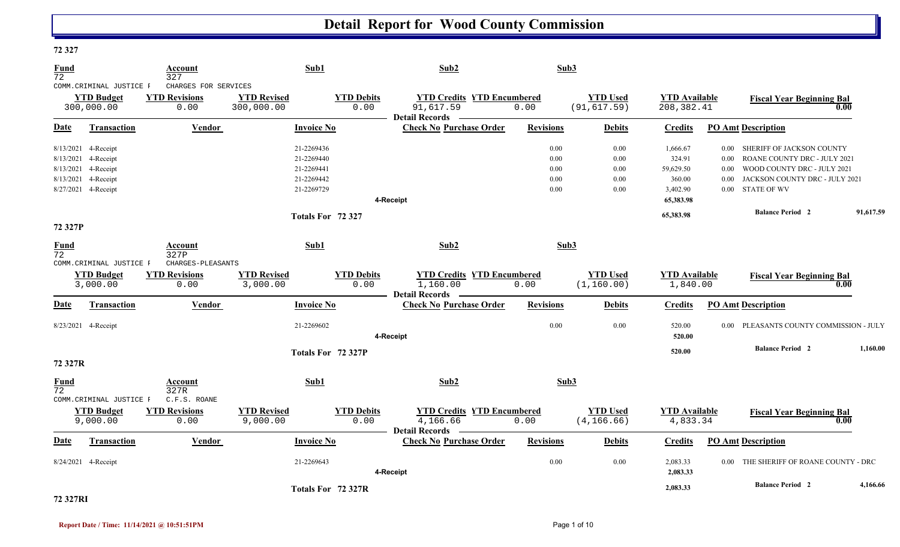| 12 J L I          |                                                                                                       |                                                      |                                                                    |                           |                                                                         |                                      |                                      |                                                       |                                                      |                                                                                                                                                  |           |
|-------------------|-------------------------------------------------------------------------------------------------------|------------------------------------------------------|--------------------------------------------------------------------|---------------------------|-------------------------------------------------------------------------|--------------------------------------|--------------------------------------|-------------------------------------------------------|------------------------------------------------------|--------------------------------------------------------------------------------------------------------------------------------------------------|-----------|
| <b>Fund</b><br>72 |                                                                                                       | Account<br>327                                       | Sub1                                                               |                           | Sub2                                                                    | Sub3                                 |                                      |                                                       |                                                      |                                                                                                                                                  |           |
|                   | COMM.CRIMINAL JUSTICE F<br><b>YTD Budget</b><br>300,000.00                                            | CHARGES FOR SERVICES<br><b>YTD Revisions</b><br>0.00 | <b>YTD Revised</b><br>300,000.00                                   | <b>YTD Debits</b><br>0.00 | <b>YTD Credits YTD Encumbered</b><br>91,617.59<br><b>Detail Records</b> | 0.00                                 | <b>YTD Used</b><br>(91, 617.59)      | <b>YTD Available</b><br>208, 382.41                   |                                                      | <b>Fiscal Year Beginning Bal</b>                                                                                                                 | 0.00      |
| Date              | Transaction                                                                                           | Vendor                                               | <b>Invoice No</b>                                                  |                           | <b>Check No Purchase Order</b>                                          | <b>Revisions</b>                     | <b>Debits</b>                        | <b>Credits</b>                                        |                                                      | <b>PO Amt Description</b>                                                                                                                        |           |
| 8/13/2021         | 8/13/2021 4-Receipt<br>8/13/2021 4-Receipt<br>8/13/2021 4-Receipt<br>4-Receipt<br>8/27/2021 4-Receipt |                                                      | 21-2269436<br>21-2269440<br>21-2269441<br>21-2269442<br>21-2269729 |                           |                                                                         | 0.00<br>0.00<br>0.00<br>0.00<br>0.00 | 0.00<br>0.00<br>0.00<br>0.00<br>0.00 | 1,666.67<br>324.91<br>59,629.50<br>360.00<br>3,402.90 | $0.00\,$<br>$0.00\,$<br>$0.00\,$<br>0.00<br>$0.00\,$ | SHERIFF OF JACKSON COUNTY<br>ROANE COUNTY DRC - JULY 2021<br>WOOD COUNTY DRC - JULY 2021<br>JACKSON COUNTY DRC - JULY 2021<br><b>STATE OF WV</b> |           |
|                   |                                                                                                       |                                                      |                                                                    |                           | 4-Receipt                                                               |                                      |                                      | 65,383.98                                             |                                                      |                                                                                                                                                  |           |
| 72 327P           |                                                                                                       |                                                      |                                                                    | Totals For 72 327         |                                                                         |                                      |                                      | 65,383.98                                             |                                                      | <b>Balance Period 2</b>                                                                                                                          | 91,617.59 |
| Fund<br>72        |                                                                                                       | Account<br>327P                                      | Sub1                                                               |                           | Sub2                                                                    | Sub3                                 |                                      |                                                       |                                                      |                                                                                                                                                  |           |
|                   | COMM. CRIMINAL JUSTICE F<br><b>YTD Budget</b><br>3,000.00                                             | CHARGES-PLEASANTS<br><b>YTD Revisions</b><br>0.00    | <b>YTD Revised</b><br>3,000.00                                     | <b>YTD Debits</b><br>0.00 | <b>YTD Credits YTD Encumbered</b><br>1,160.00<br><b>Detail Records</b>  | 0.00                                 | <b>YTD Used</b><br>(1, 160.00)       | <b>YTD</b> Available<br>1,840.00                      |                                                      | <b>Fiscal Year Beginning Bal</b>                                                                                                                 | 0.00      |
| Date              | Transaction                                                                                           | <b>Vendor</b>                                        | <b>Invoice No</b>                                                  |                           | <b>Check No Purchase Order</b>                                          | <b>Revisions</b>                     | <b>Debits</b>                        | Credits                                               |                                                      | <b>PO Amt Description</b>                                                                                                                        |           |
|                   | 8/23/2021 4-Receipt                                                                                   |                                                      | 21-2269602                                                         |                           | 4-Receipt                                                               | 0.00                                 | 0.00                                 | 520.00<br>520.00                                      |                                                      | 0.00 PLEASANTS COUNTY COMMISSION - JULY                                                                                                          |           |
| 72 327R           |                                                                                                       |                                                      |                                                                    | Totals For 72 327P        |                                                                         |                                      |                                      | 520.00                                                |                                                      | <b>Balance Period 2</b>                                                                                                                          | 1.160.00  |
| <b>Fund</b><br>72 |                                                                                                       | Account<br>327R<br>$C.F.S.$ ROANE                    | Sub1                                                               |                           | Sub2                                                                    |                                      | Sub3                                 |                                                       |                                                      |                                                                                                                                                  |           |
|                   | COMM. CRIMINAL JUSTICE F<br><b>YTD Budget</b><br>9,000.00                                             | <b>YTD Revisions</b><br>0.00                         | <b>YTD Revised</b><br>9,000.00                                     | <b>YTD Debits</b><br>0.00 | <b>YTD Credits YTD Encumbered</b><br>4,166.66<br><b>Detail Records</b>  | 0.00                                 | <b>YTD Used</b><br>(4, 166.66)       | <b>YTD Available</b><br>4,833.34                      |                                                      | <b>Fiscal Year Beginning Bal</b>                                                                                                                 | 0.00      |
| <u>Date</u>       | <b>Transaction</b>                                                                                    | <b>Vendor</b>                                        | <b>Invoice No</b>                                                  |                           | <b>Check No Purchase Order</b>                                          | <b>Revisions</b>                     | <b>Debits</b>                        | <b>Credits</b>                                        |                                                      | <b>PO Amt Description</b>                                                                                                                        |           |
|                   | 8/24/2021 4-Receipt                                                                                   |                                                      | 21-2269643                                                         |                           | 4-Receipt                                                               | 0.00                                 | 0.00                                 | 2,083.33<br>2,083.33                                  |                                                      | 0.00 THE SHERIFF OF ROANE COUNTY - DRC                                                                                                           |           |
|                   |                                                                                                       |                                                      |                                                                    | Totals For 72 327R        |                                                                         |                                      |                                      | 2,083.33                                              |                                                      | <b>Balance Period 2</b>                                                                                                                          | 4,166.66  |

#### **72 327RI**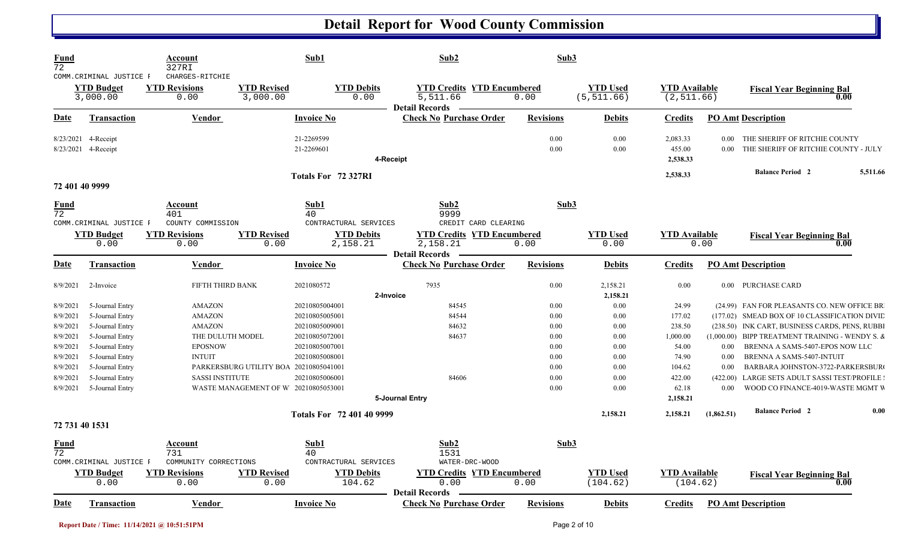| <b>Fund</b><br>$\overline{72}$ |                                                           | <b>Account</b><br>327RI                         |                                        | Sub1                                  | Sub2                                                                   | Sub3             |                                |                                     |                      |                                                                       |
|--------------------------------|-----------------------------------------------------------|-------------------------------------------------|----------------------------------------|---------------------------------------|------------------------------------------------------------------------|------------------|--------------------------------|-------------------------------------|----------------------|-----------------------------------------------------------------------|
|                                | COMM. CRIMINAL JUSTICE F<br><b>YTD Budget</b><br>3,000.00 | CHARGES-RITCHIE<br><b>YTD Revisions</b><br>0.00 | <b>YTD Revised</b><br>3,000.00         | <b>YTD Debits</b><br>0.00             | <b>YTD Credits YTD Encumbered</b><br>5,511.66<br><b>Detail Records</b> | 0.00             | <b>YTD Used</b><br>(5, 511.66) | <b>YTD</b> Available<br>(2, 511.66) |                      | <b>Fiscal Year Beginning Bal</b><br>0.00                              |
| Date                           | <b>Transaction</b>                                        | <b>Vendor</b>                                   |                                        | <b>Invoice No</b>                     | <b>Check No Purchase Order</b>                                         | <b>Revisions</b> | <b>Debits</b>                  | <b>Credits</b>                      |                      | <b>PO Amt Description</b>                                             |
| 8/23/2021                      | 4-Receipt<br>8/23/2021 4-Receipt                          |                                                 |                                        | 21-2269599<br>21-2269601<br>4-Receipt |                                                                        | 0.00<br>0.00     | 0.00<br>0.00                   | 2,083.33<br>455.00<br>2,538.33      | $0.00\,$<br>$0.00\,$ | THE SHERIFF OF RITCHIE COUNTY<br>THE SHERIFF OF RITCHIE COUNTY - JULY |
|                                |                                                           |                                                 |                                        | Totals For 72 327RI                   |                                                                        |                  |                                | 2,538.33                            |                      | <b>Balance Period 2</b><br>5,511.66                                   |
|                                | 72 401 40 9999                                            |                                                 |                                        |                                       |                                                                        |                  |                                |                                     |                      |                                                                       |
| <b>Fund</b><br>72              | COMM. CRIMINAL JUSTICE F                                  | Account<br>401<br>COUNTY COMMISSION             |                                        | Sub1<br>40<br>CONTRACTURAL SERVICES   | Sub2<br>9999<br>CREDIT CARD CLEARING                                   | Sub3             |                                |                                     |                      |                                                                       |
|                                | <b>YTD Budget</b>                                         | <b>YTD Revisions</b>                            | <b>YTD Revised</b>                     | <b>YTD Debits</b>                     | <b>YTD Credits YTD Encumbered</b>                                      |                  | <b>YTD Used</b>                | <b>YTD Available</b>                |                      | <b>Fiscal Year Beginning Bal</b>                                      |
|                                | 0.00                                                      | 0.00                                            | 0.00                                   | 2,158.21                              | 2,158.21<br><b>Detail Records</b>                                      | 0.00             | 0.00                           |                                     | 0.00                 | $\overline{\phantom{0}0.00}$                                          |
| Date                           | <b>Transaction</b>                                        | <b>Vendor</b>                                   |                                        | <b>Invoice No</b>                     | <b>Check No Purchase Order</b>                                         | <b>Revisions</b> | <b>Debits</b>                  | <b>Credits</b>                      |                      | <b>PO Amt Description</b>                                             |
| 8/9/2021                       | 2-Invoice                                                 | FIFTH THIRD BANK                                |                                        | 2021080572<br>2-Invoice               | 7935                                                                   | 0.00             | 2,158.21<br>2,158.21           | 0.00                                |                      | 0.00 PURCHASE CARD                                                    |
| 8/9/2021                       | 5-Journal Entry                                           | AMAZON                                          |                                        | 20210805004001                        | 84545                                                                  | 0.00             | $0.00\,$                       | 24.99                               |                      | (24.99) FAN FOR PLEASANTS CO. NEW OFFICE BR                           |
| 8/9/2021                       | 5-Journal Entry                                           | AMAZON                                          |                                        | 20210805005001                        | 84544                                                                  | 0.00             | 0.00                           | 177.02                              |                      | (177.02) SMEAD BOX OF 10 CLASSIFICATION DIVIE                         |
| 8/9/2021                       | 5-Journal Entry                                           | AMAZON                                          |                                        | 20210805009001                        | 84632                                                                  | 0.00             | 0.00                           | 238.50                              |                      | (238.50) INK CART, BUSINESS CARDS, PENS, RUBBI                        |
| 8/9/2021                       | 5-Journal Entry                                           | THE DULUTH MODEL                                |                                        | 20210805072001                        | 84637                                                                  | 0.00             | 0.00                           | 1,000.00                            |                      | $(1,000.00)$ BIPP TREATMENT TRAINING - WENDY S. $\&$                  |
| 8/9/2021<br>8/9/2021           | 5-Journal Entry                                           | <b>EPOSNOW</b><br><b>INTUIT</b>                 |                                        | 20210805007001<br>20210805008001      |                                                                        | 0.00<br>0.00     | 0.00<br>0.00                   | 54.00<br>74.90                      | 0.00<br>0.00         | BRENNA A SAMS-5407-EPOS NOW LLC<br>BRENNA A SAMS-5407-INTUIT          |
| 8/9/2021                       | 5-Journal Entry<br>5-Journal Entry                        |                                                 | PARKERSBURG UTILITY BOA 20210805041001 |                                       |                                                                        | 0.00             | 0.00                           | 104.62                              | 0.00                 | BARBARA JOHNSTON-3722-PARKERSBUR                                      |
| 8/9/2021                       | 5-Journal Entry                                           | <b>SASSI INSTITUTE</b>                          |                                        | 20210805006001                        | 84606                                                                  | 0.00             | 0.00                           | 422.00                              | (422.00)             | LARGE SETS ADULT SASSI TEST/PROFILE :                                 |
| 8/9/2021                       | 5-Journal Entry                                           |                                                 | WASTE MANAGEMENT OF W 20210805053001   |                                       |                                                                        | 0.00             | 0.00                           | 62.18                               | 0.00                 | WOOD CO FINANCE-4019-WASTE MGMT V                                     |
|                                |                                                           |                                                 |                                        |                                       | 5-Journal Entry                                                        |                  |                                | 2,158.21                            |                      |                                                                       |
|                                |                                                           |                                                 |                                        | Totals For 72 401 40 9999             |                                                                        |                  | 2,158.21                       | 2,158.21                            | (1,862.51)           | <b>Balance Period 2</b><br>0.00                                       |
|                                | 72 731 40 1531                                            |                                                 |                                        |                                       |                                                                        |                  |                                |                                     |                      |                                                                       |
| <b>Fund</b><br>72              | COMM. CRIMINAL JUSTICE F                                  | Account<br>731<br>COMMUNITY CORRECTIONS         |                                        | Sub1<br>40<br>CONTRACTURAL SERVICES   | Sub2<br>1531<br>WATER-DRC-WOOD                                         | Sub3             |                                |                                     |                      |                                                                       |
|                                | <b>YTD Budget</b>                                         | <b>YTD Revisions</b>                            | <b>YTD Revised</b>                     | <b>YTD Debits</b>                     | <b>YTD Credits YTD Encumbered</b>                                      |                  | <b>YTD Used</b>                | <b>YTD Available</b>                |                      | <b>Fiscal Year Beginning Bal</b>                                      |
|                                | 0.00                                                      | 0.00                                            | 0.00                                   | 104.62                                | 0.00                                                                   | 0.00             | (104.62)                       | (104.62)                            |                      | 0.00                                                                  |
|                                |                                                           |                                                 |                                        |                                       | <b>Detail Records</b>                                                  |                  |                                |                                     |                      |                                                                       |
| <b>Date</b>                    | <b>Transaction</b>                                        | Vendor                                          |                                        | <b>Invoice No</b>                     | <b>Check No Purchase Order</b>                                         | <b>Revisions</b> | <b>Debits</b>                  | <b>Credits</b>                      |                      | <b>PO Amt Description</b>                                             |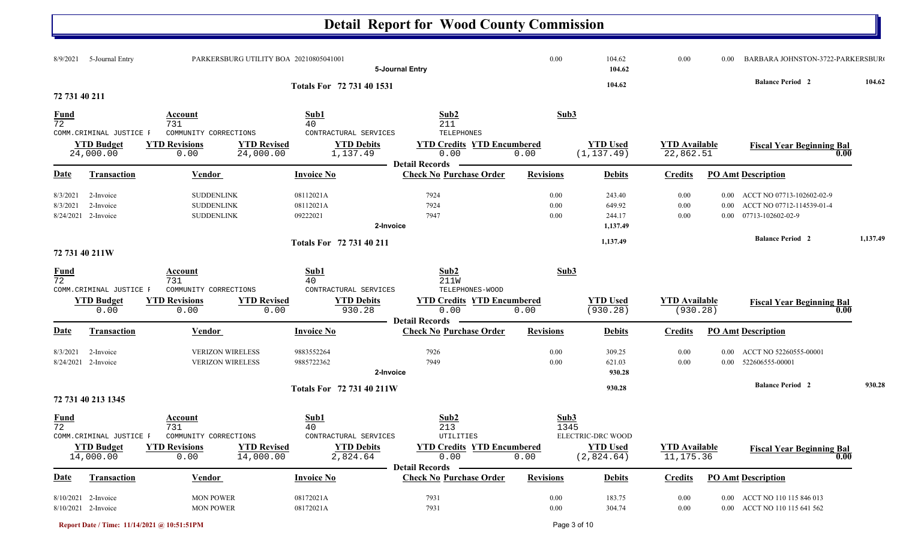|                                   |                                                            |                                                             |                                                                                           | <b>Detail Report for Wood County Commission</b>                                       |                      |                                        |                                    |                          |                                                                             |          |
|-----------------------------------|------------------------------------------------------------|-------------------------------------------------------------|-------------------------------------------------------------------------------------------|---------------------------------------------------------------------------------------|----------------------|----------------------------------------|------------------------------------|--------------------------|-----------------------------------------------------------------------------|----------|
| 8/9/2021                          | 5-Journal Entry                                            |                                                             | PARKERSBURG UTILITY BOA 20210805041001                                                    | 5-Journal Entry                                                                       | 0.00                 | 104.62<br>104.62                       | 0.00                               | 0.00                     | BARBARA JOHNSTON-3722-PARKERSBUR                                            |          |
| 72 731 40 211                     |                                                            |                                                             | Totals For 72 731 40 1531                                                                 |                                                                                       |                      | 104.62                                 |                                    |                          | <b>Balance Period 2</b>                                                     | 104.62   |
| <b>Fund</b><br>$\overline{72}$    |                                                            | Account<br>731                                              | Sub1<br>40                                                                                | Sub2<br>211                                                                           | Sub3                 |                                        |                                    |                          |                                                                             |          |
|                                   | COMM. CRIMINAL JUSTICE F<br><b>YTD Budget</b><br>24,000.00 | COMMUNITY CORRECTIONS<br><b>YTD Revisions</b><br>0.00       | CONTRACTURAL SERVICES<br><b>YTD Revised</b><br><b>YTD Debits</b><br>24,000.00<br>1,137.49 | TELEPHONES<br><b>YTD Credits YTD Encumbered</b><br>0.00<br><b>Detail Records</b>      | 0.00                 | <b>YTD Used</b><br>(1, 137.49)         | <b>YTD Available</b><br>22,862.51  |                          | <b>Fiscal Year Beginning Bal</b><br>0.00                                    |          |
| <b>Date</b>                       | <b>Transaction</b>                                         | <b>Vendor</b>                                               | <b>Invoice No</b>                                                                         | <b>Check No Purchase Order</b>                                                        | <b>Revisions</b>     | <b>Debits</b>                          | <b>Credits</b>                     |                          | <b>PO Amt Description</b>                                                   |          |
| 8/3/2021<br>8/3/2021<br>8/24/2021 | 2-Invoice<br>2-Invoice<br>2-Invoice                        | <b>SUDDENLINK</b><br><b>SUDDENLINK</b><br><b>SUDDENLINK</b> | 08112021A<br>08112021A<br>09222021                                                        | 7924<br>7924<br>7947<br>2-Invoice                                                     | 0.00<br>0.00<br>0.00 | 243.40<br>649.92<br>244.17<br>1,137.49 | 0.00<br>0.00<br>0.00               | 0.00<br>0.00<br>$0.00\,$ | ACCT NO 07713-102602-02-9<br>ACCT NO 07712-114539-01-4<br>07713-102602-02-9 |          |
|                                   | 72 731 40 211W                                             |                                                             | Totals For 72 731 40 211                                                                  |                                                                                       |                      | 1,137.49                               |                                    |                          | <b>Balance Period 2</b>                                                     | 1,137.49 |
| $\frac{Fund}{72}$                 |                                                            | Account<br>731                                              | Sub1<br>40                                                                                | Sub2<br><b>211W</b>                                                                   | Sub3                 |                                        |                                    |                          |                                                                             |          |
|                                   | COMM. CRIMINAL JUSTICE F<br><b>YTD Budget</b><br>0.00      | COMMUNITY CORRECTIONS<br><b>YTD Revisions</b><br>0.00       | CONTRACTURAL SERVICES<br><b>YTD Revised</b><br><b>YTD Debits</b><br>930.28<br>0.00        | TELEPHONES-WOOD<br><b>YTD Credits YTD Encumbered</b><br>0.00<br><b>Detail Records</b> | 0.00                 | <b>YTD Used</b><br>(930.28)            | <b>YTD Available</b><br>(930.28)   |                          | <b>Fiscal Year Beginning Bal</b><br>0.00                                    |          |
| Date                              | <b>Transaction</b>                                         | <b>Vendor</b>                                               | <b>Invoice No</b>                                                                         | <b>Check No Purchase Order</b>                                                        | <b>Revisions</b>     | <b>Debits</b>                          | <b>Credits</b>                     |                          | <b>PO Amt Description</b>                                                   |          |
| 8/3/2021<br>8/24/2021             | 2-Invoice<br>2-Invoice                                     | <b>VERIZON WIRELESS</b><br><b>VERIZON WIRELESS</b>          | 9883552264<br>9885722362                                                                  | 7926<br>7949<br>2-Invoice                                                             | 0.00<br>$0.00\,$     | 309.25<br>621.03<br>930.28             | 0.00<br>0.00                       | $0.00\,$                 | ACCT NO 52260555-00001<br>0.00 522606555-00001                              |          |
|                                   | 72 731 40 213 1345                                         |                                                             | Totals For 72 731 40 211W                                                                 |                                                                                       |                      | 930.28                                 |                                    |                          | <b>Balance Period 2</b>                                                     | 930.28   |
| <u>Fund</u><br>$\overline{72}$    | COMM. CRIMINAL JUSTICE F                                   | <b>Account</b><br>731<br>COMMUNITY CORRECTIONS              | Sub1<br>40<br>CONTRACTURAL SERVICES                                                       | Sub2<br>213<br>${\tt UTILITIES}$                                                      | Sub3<br>1345         | ELECTRIC-DRC WOOD                      |                                    |                          |                                                                             |          |
|                                   | <b>YTD Budget</b><br>14,000.00                             | <b>YTD Revisions</b><br>0.00                                | <b>YTD Revised</b><br><b>YTD Debits</b><br>2,824.64<br>14,000.00                          | <b>YTD Credits YTD Encumbered</b><br>0.00<br><b>Detail Records</b>                    | 0.00                 | <b>YTD Used</b><br>(2,824.64)          | <b>YTD Available</b><br>11, 175.36 |                          | <b>Fiscal Year Beginning Bal</b><br>0.00                                    |          |
| Date                              | <b>Transaction</b>                                         | <b>Vendor</b>                                               | <b>Invoice No</b>                                                                         | <b>Check No Purchase Order</b>                                                        | <b>Revisions</b>     | <b>Debits</b>                          | <b>Credits</b>                     |                          | <b>PO Amt Description</b>                                                   |          |
|                                   | 8/10/2021 2-Invoice<br>8/10/2021 2-Invoice                 | <b>MON POWER</b><br><b>MON POWER</b>                        | 08172021A<br>08172021A                                                                    | 7931<br>7931                                                                          | $0.00\,$<br>$0.00\,$ | 183.75<br>304.74                       | 0.00<br>0.00                       |                          | 0.00 ACCT NO 110 115 846 013<br>0.00 ACCT NO 110 115 641 562                |          |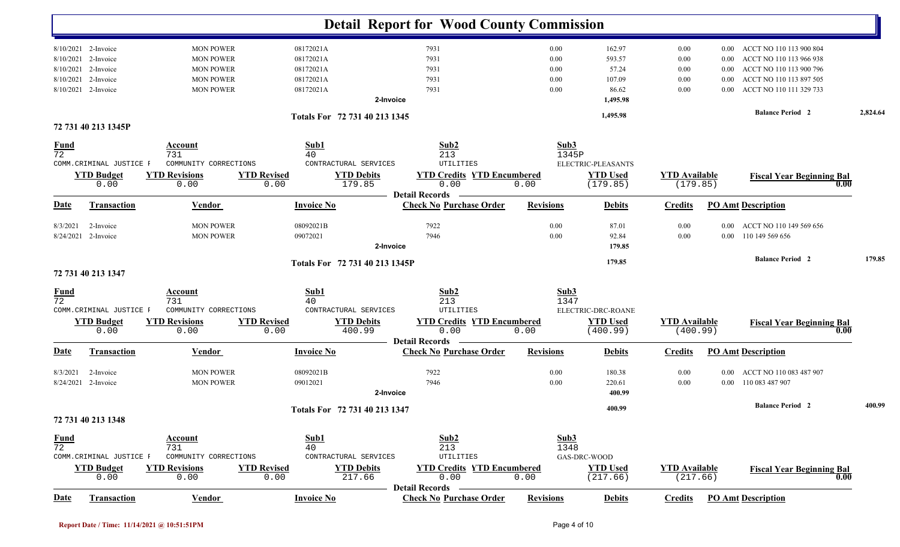|                   |                          |                       |                    |                                | <b>Detail Report for Wood County Commission</b>         |                  |                    |                      |          |                                  |          |
|-------------------|--------------------------|-----------------------|--------------------|--------------------------------|---------------------------------------------------------|------------------|--------------------|----------------------|----------|----------------------------------|----------|
|                   | 8/10/2021 2-Invoice      | <b>MON POWER</b>      | 08172021A          |                                | 7931                                                    | 0.00             | 162.97             | 0.00                 | $0.00\,$ | ACCT NO 110 113 900 804          |          |
| 8/10/2021         | 2-Invoice                | <b>MON POWER</b>      | 08172021A          |                                | 7931                                                    | 0.00             | 593.57             | 0.00                 | 0.00     | ACCT NO 110 113 966 938          |          |
| 8/10/2021         | 2-Invoice                | <b>MON POWER</b>      | 08172021A          |                                | 7931                                                    | 0.00             | 57.24              | 0.00                 | $0.00\,$ | ACCT NO 110 113 900 796          |          |
| 8/10/2021         | 2-Invoice                | <b>MON POWER</b>      | 08172021A          |                                | 7931                                                    | 0.00             | 107.09             | 0.00                 | 0.00     | ACCT NO 110 113 897 505          |          |
| 8/10/2021         | 2-Invoice                | <b>MON POWER</b>      | 08172021A          |                                | 7931                                                    | 0.00             | 86.62              | 0.00                 | 0.00     | ACCT NO 110 111 329 733          |          |
|                   |                          |                       |                    | 2-Invoice                      |                                                         |                  | 1,495.98           |                      |          |                                  |          |
|                   |                          |                       |                    | Totals For 72 731 40 213 1345  |                                                         |                  | 1,495.98           |                      |          | <b>Balance Period 2</b>          | 2,824.64 |
|                   | 72 731 40 213 1345P      |                       |                    |                                |                                                         |                  |                    |                      |          |                                  |          |
| <b>Fund</b>       |                          | Account               | Sub1               |                                | Sub2                                                    | Sub3             |                    |                      |          |                                  |          |
| $\overline{72}$   |                          | 731                   | 40                 |                                | 213                                                     | 1345P            |                    |                      |          |                                  |          |
|                   | COMM. CRIMINAL JUSTICE F | COMMUNITY CORRECTIONS |                    | CONTRACTURAL SERVICES          | UTILITIES                                               |                  | ELECTRIC-PLEASANTS |                      |          |                                  |          |
|                   | <b>YTD Budget</b>        | <b>YTD Revisions</b>  | <b>YTD Revised</b> | <b>YTD Debits</b>              | <b>YTD Credits YTD Encumbered</b>                       |                  | <b>YTD Used</b>    | <b>YTD</b> Available |          | <b>Fiscal Year Beginning Bal</b> |          |
|                   | 0.00                     | 0.00                  | 0.00               | 179.85                         | 0.00<br><b>Detail Records</b>                           | 0.00             | (179.85)           | (179.85)             |          | 0.00                             |          |
| Date              | Transaction              | <b>Vendor</b>         | <b>Invoice No</b>  |                                | <b>Check No Purchase Order</b>                          | <b>Revisions</b> | <b>Debits</b>      | <b>Credits</b>       |          | <b>PO Amt Description</b>        |          |
| 8/3/2021          | 2-Invoice                | <b>MON POWER</b>      | 08092021B          |                                | 7922                                                    | 0.00             | 87.01              | 0.00                 | 0.00     | ACCT NO 110 149 569 656          |          |
| 8/24/2021         | 2-Invoice                | <b>MON POWER</b>      | 09072021           |                                | 7946                                                    | 0.00             | 92.84              | 0.00                 | $0.00\,$ | 110 149 569 656                  |          |
|                   |                          |                       |                    | 2-Invoice                      |                                                         |                  | 179.85             |                      |          |                                  |          |
|                   |                          |                       |                    |                                |                                                         |                  |                    |                      |          |                                  |          |
|                   |                          |                       |                    | Totals For 72 731 40 213 1345P |                                                         |                  | 179.85             |                      |          | <b>Balance Period 2</b>          | 179.85   |
|                   | 72 731 40 213 1347       |                       |                    |                                |                                                         |                  |                    |                      |          |                                  |          |
|                   |                          | <b>Account</b>        | Sub1               |                                | Sub2                                                    | Sub3             |                    |                      |          |                                  |          |
| $\frac{Fund}{72}$ |                          | 731                   | 40                 |                                | 213                                                     | 1347             |                    |                      |          |                                  |          |
|                   | COMM. CRIMINAL JUSTICE F | COMMUNITY CORRECTIONS |                    | CONTRACTURAL SERVICES          | UTILITIES                                               |                  | ELECTRIC-DRC-ROANE |                      |          |                                  |          |
|                   | <b>YTD Budget</b>        | <b>YTD Revisions</b>  | <b>YTD Revised</b> | <b>YTD Debits</b>              | <b>YTD Credits YTD Encumbered</b>                       |                  | <b>YTD Used</b>    | <b>YTD</b> Available |          | <b>Fiscal Year Beginning Bal</b> |          |
|                   | 0.00                     | 0.00                  | 0.00               | 400.99                         | 0.00                                                    | 0.00             | (400.99)           | (400.99)             |          | 0.00                             |          |
| Date              | Transaction              | <b>Vendor</b>         | <b>Invoice No</b>  |                                | <b>Detail Records</b><br><b>Check No Purchase Order</b> | <b>Revisions</b> | <b>Debits</b>      | <b>Credits</b>       |          | <b>PO Amt Description</b>        |          |
| 8/3/2021          | 2-Invoice                | <b>MON POWER</b>      | 08092021B          |                                | 7922                                                    | 0.00             | 180.38             | 0.00                 | $0.00\,$ | ACCT NO 110 083 487 907          |          |
| 8/24/2021         | 2-Invoice                | <b>MON POWER</b>      | 09012021           |                                | 7946                                                    | 0.00             | 220.61             | $0.00\,$             |          | 0.00 110 083 487 907             |          |
|                   |                          |                       |                    | 2-Invoice                      |                                                         |                  | 400.99             |                      |          |                                  |          |
|                   |                          |                       |                    | Totals For 72 731 40 213 1347  |                                                         |                  | 400.99             |                      |          | <b>Balance Period 2</b>          | 400.99   |
|                   | 72 731 40 213 1348       |                       |                    |                                |                                                         |                  |                    |                      |          |                                  |          |
|                   |                          | <b>Account</b>        | Sub1               |                                | Sub2                                                    | Sub3             |                    |                      |          |                                  |          |
| $\frac{Fund}{72}$ |                          | 731                   | 40                 |                                | 213                                                     | 1348             |                    |                      |          |                                  |          |
|                   | COMM. CRIMINAL JUSTICE F | COMMUNITY CORRECTIONS |                    | CONTRACTURAL SERVICES          | UTILITIES                                               |                  | GAS-DRC-WOOD       |                      |          |                                  |          |
|                   | <b>YTD Budget</b>        | <b>YTD Revisions</b>  | <b>YTD Revised</b> | <b>YTD Debits</b>              | <b>YTD Credits YTD Encumbered</b>                       |                  | <b>YTD</b> Used    | <b>YTD Available</b> |          | <b>Fiscal Year Beginning Bal</b> |          |
|                   | 0.00                     | 0.00                  | 0.00               | 217.66                         | 0.00                                                    | 0.00             | (217.66)           | (217.66)             |          | 0.00                             |          |
|                   |                          |                       |                    |                                | <b>Detail Records</b>                                   |                  |                    |                      |          |                                  |          |
| Date              | <b>Transaction</b>       | Vendor                | <b>Invoice No</b>  |                                | <b>Check No Purchase Order</b>                          | <b>Revisions</b> | <b>Debits</b>      | <b>Credits</b>       |          | <b>PO</b> Amt Description        |          |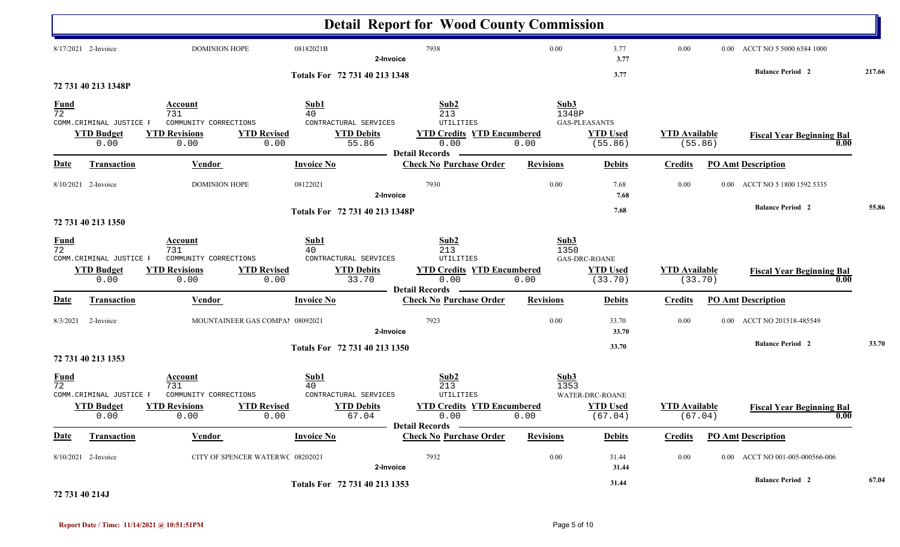|                                |                                                       |                                                                                                      |                                                                           | <b>Detail Report for Wood County Commission</b>                                                |                       |                                                    |                      |          |                                          |        |
|--------------------------------|-------------------------------------------------------|------------------------------------------------------------------------------------------------------|---------------------------------------------------------------------------|------------------------------------------------------------------------------------------------|-----------------------|----------------------------------------------------|----------------------|----------|------------------------------------------|--------|
|                                | 8/17/2021 2-Invoice                                   | <b>DOMINION HOPE</b>                                                                                 | 08182021B                                                                 | 7938<br>2-Invoice                                                                              | 0.00                  | 3.77<br>3.77                                       | 0.00                 | $0.00\,$ | ACCT NO 5 5000 6584 1000                 |        |
|                                | 72 731 40 213 1348P                                   |                                                                                                      | Totals For 72 731 40 213 1348                                             |                                                                                                |                       | 3.77                                               |                      |          | <b>Balance Period 2</b>                  | 217.66 |
| <b>Fund</b><br>$\overline{72}$ | COMM. CRIMINAL JUSTICE F<br><b>YTD Budget</b><br>0.00 | Account<br>731<br>COMMUNITY CORRECTIONS<br><b>YTD Revisions</b><br><b>YTD Revised</b><br>0.00        | Sub1<br>40<br>CONTRACTURAL SERVICES<br><b>YTD Debits</b><br>55.86<br>0.00 | Sub2<br>213<br>UTILITIES<br><b>YTD Credits YTD Encumbered</b><br>0.00<br><b>Detail Records</b> | Sub3<br>1348P<br>0.00 | <b>GAS-PLEASANTS</b><br><b>YTD Used</b><br>(55.86) | <b>YTD Available</b> | (55.86)  | <b>Fiscal Year Beginning Bal</b><br>0.00 |        |
| Date                           | <b>Transaction</b>                                    | <b>Vendor</b>                                                                                        | <b>Invoice No</b>                                                         | <b>Check No Purchase Order</b>                                                                 | <b>Revisions</b>      | <b>Debits</b>                                      | <b>Credits</b>       |          | <b>PO Amt Description</b>                |        |
|                                | 8/10/2021 2-Invoice                                   | <b>DOMINION HOPE</b>                                                                                 | 08122021                                                                  | 7930<br>2-Invoice                                                                              | 0.00                  | 7.68<br>7.68                                       | 0.00                 | $0.00\,$ | ACCT NO 5 1800 1592 5335                 |        |
|                                | 72 731 40 213 1350                                    |                                                                                                      | Totals For 72 731 40 213 1348P                                            |                                                                                                |                       | 7.68                                               |                      |          | <b>Balance Period 2</b>                  | 55.86  |
| <b>Fund</b><br>$\overline{72}$ | COMM. CRIMINAL JUSTICE F<br><b>YTD Budget</b><br>0.00 | <b>Account</b><br>731<br>COMMUNITY CORRECTIONS<br><b>YTD Revisions</b><br><b>YTD Revised</b><br>0.00 | Sub1<br>40<br>CONTRACTURAL SERVICES<br><b>YTD Debits</b><br>0.00<br>33.70 | Sub2<br>213<br>UTILITIES<br><b>YTD Credits YTD Encumbered</b><br>0.00<br><b>Detail Records</b> | Sub3<br>1350<br>0.00  | <b>GAS-DRC-ROANE</b><br><b>YTD Used</b><br>(33.70) | <b>YTD Available</b> | (33.70)  | <b>Fiscal Year Beginning Bal</b><br>0.00 |        |
| <b>Date</b>                    | <b>Transaction</b>                                    | <b>Vendor</b>                                                                                        | <b>Invoice No</b>                                                         | <b>Check No Purchase Order</b>                                                                 | <b>Revisions</b>      | <b>Debits</b>                                      | <b>Credits</b>       |          | <b>PO Amt Description</b>                |        |
| 8/3/2021                       | 2-Invoice                                             | MOUNTAINEER GAS COMPAI 08092021                                                                      |                                                                           | 7923<br>2-Invoice                                                                              | 0.00                  | 33.70<br>33.70                                     | 0.00                 | 0.00     | ACCT NO 201518-485549                    |        |
|                                | 72 731 40 213 1353                                    |                                                                                                      | Totals For 72 731 40 213 1350                                             |                                                                                                |                       | 33.70                                              |                      |          | <b>Balance Period 2</b>                  | 33.70  |
| $\frac{Fund}{72}$              | COMM. CRIMINAL JUSTICE F<br><b>YTD Budget</b><br>0.00 | <b>Account</b><br>731<br>COMMUNITY CORRECTIONS<br><b>YTD Revised</b><br><b>YTD Revisions</b><br>0.00 | Sub1<br>40<br>CONTRACTURAL SERVICES<br><b>YTD Debits</b><br>0.00<br>67.04 | Sub2<br>213<br>UTILITIES<br><b>YTD Credits YTD Encumbered</b><br>0.00<br>Detail Records —      | Sub3<br>1353<br>0.00  | WATER-DRC-ROANE<br><b>YTD Used</b><br>(67.04)      | <b>YTD</b> Available | (67.04)  | <b>Fiscal Year Beginning Bal</b><br>0.00 |        |
| <b>Date</b>                    | <b>Transaction</b>                                    | <b>Vendor</b>                                                                                        | <b>Invoice No</b>                                                         | <b>Check No Purchase Order</b>                                                                 | <b>Revisions</b>      | <b>Debits</b>                                      | <b>Credits</b>       |          | <b>PO Amt Description</b>                |        |
|                                | 8/10/2021 2-Invoice                                   | CITY OF SPENCER WATERWC 08202021                                                                     |                                                                           | 7932<br>2-Invoice                                                                              | 0.00                  | 31.44<br>31.44                                     | $0.00\,$             |          | 0.00 ACCT NO 001-005-000566-006          |        |
|                                |                                                       |                                                                                                      | Totals For 72 731 40 213 1353                                             |                                                                                                |                       | 31.44                                              |                      |          | <b>Balance Period 2</b>                  | 67.04  |

#### **72 731 40 214J**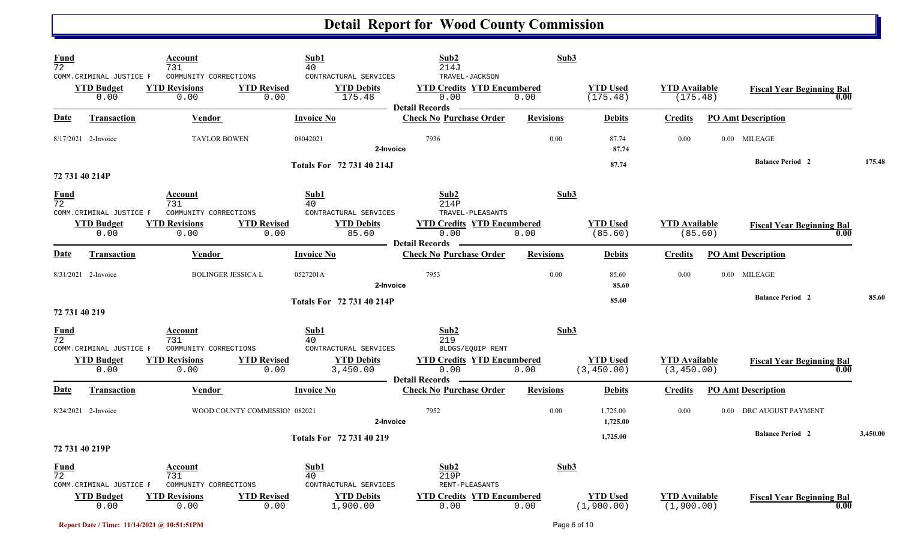| $\frac{Fund}{72}$ |                                                       | Account<br>731                                        |                               | Sub1<br>40                                           | Sub2<br>214J                                                                         | Sub3             |                                |                                     |      |                                          |          |
|-------------------|-------------------------------------------------------|-------------------------------------------------------|-------------------------------|------------------------------------------------------|--------------------------------------------------------------------------------------|------------------|--------------------------------|-------------------------------------|------|------------------------------------------|----------|
|                   | COMM. CRIMINAL JUSTICE F<br><b>YTD Budget</b><br>0.00 | COMMUNITY CORRECTIONS<br><b>YTD Revisions</b><br>0.00 | <b>YTD Revised</b><br>0.00    | CONTRACTURAL SERVICES<br><b>YTD Debits</b><br>175.48 | TRAVEL-JACKSON<br><b>YTD Credits YTD Encumbered</b><br>0.00<br><b>Detail Records</b> | 0.00             | <b>YTD Used</b><br>(175.48)    | <b>YTD Available</b><br>(175.48)    |      | <b>Fiscal Year Beginning Bal</b><br>0.00 |          |
| <b>Date</b>       | <b>Transaction</b>                                    | <b>Vendor</b>                                         |                               | <b>Invoice No</b>                                    | <b>Check No Purchase Order</b>                                                       | <b>Revisions</b> | <b>Debits</b>                  | <b>Credits</b>                      |      | <b>PO Amt Description</b>                |          |
|                   | 8/17/2021 2-Invoice                                   | <b>TAYLOR BOWEN</b>                                   |                               | 08042021                                             | 7936<br>2-Invoice                                                                    | 0.00             | 87.74<br>87.74                 | 0.00                                |      | 0.00 MILEAGE                             |          |
|                   | 72 731 40 214P                                        |                                                       |                               | Totals For 72 731 40 214J                            |                                                                                      |                  | 87.74                          |                                     |      | <b>Balance Period 2</b>                  | 175.48   |
| <b>Fund</b><br>72 | COMM. CRIMINAL JUSTICE F                              | Account<br>731<br>COMMUNITY CORRECTIONS               |                               | Sub1<br>40<br>CONTRACTURAL SERVICES                  | Sub2<br>214P<br>TRAVEL-PLEASANTS                                                     | Sub3             |                                |                                     |      |                                          |          |
|                   | <b>YTD Budget</b><br>0.00                             | <b>YTD Revisions</b><br>0.00                          | <b>YTD Revised</b><br>0.00    | <b>YTD Debits</b><br>85.60                           | <b>YTD Credits YTD Encumbered</b><br>0.00<br><b>Detail Records</b>                   | 0.00             | <b>YTD Used</b><br>(85.60)     | <b>YTD</b> Available<br>(85.60)     |      | <b>Fiscal Year Beginning Bal</b><br>0.00 |          |
| <b>Date</b>       | <b>Transaction</b>                                    | Vendor                                                |                               | <b>Invoice No</b>                                    | <b>Check No Purchase Order</b>                                                       | <b>Revisions</b> | <b>Debits</b>                  | <b>Credits</b>                      |      | <b>PO Amt Description</b>                |          |
|                   | 8/31/2021 2-Invoice                                   | <b>BOLINGER JESSICA L</b>                             |                               | 0527201A                                             | 7953<br>2-Invoice                                                                    | 0.00             | 85.60<br>85.60                 | 0.00                                |      | 0.00 MILEAGE                             |          |
| 72 731 40 219     |                                                       |                                                       |                               | Totals For 72 731 40 214P                            |                                                                                      |                  | 85.60                          |                                     |      | <b>Balance Period 2</b>                  | 85.60    |
| $\frac{Fund}{72}$ | COMM.CRIMINAL JUSTICE F                               | Account<br>731<br>COMMUNITY CORRECTIONS               |                               | Sub1<br>40<br>CONTRACTURAL SERVICES                  | Sub2<br>219<br>BLDGS/EQUIP RENT                                                      | Sub3             |                                |                                     |      |                                          |          |
|                   | <b>YTD Budget</b><br>0.00                             | <b>YTD Revisions</b><br>0.00                          | <b>YTD Revised</b><br>0.00    | <b>YTD Debits</b><br>3,450.00                        | <b>YTD Credits YTD Encumbered</b><br>0.00<br><b>Detail Records</b>                   | 0.00             | <b>YTD Used</b><br>(3, 450.00) | <b>YTD Available</b><br>(3, 450.00) |      | <b>Fiscal Year Beginning Bal</b><br>0.00 |          |
| <u>Date</u>       | <b>Transaction</b>                                    | <b>Vendor</b>                                         |                               | <b>Invoice No</b>                                    | <b>Check No Purchase Order</b>                                                       | <b>Revisions</b> | <b>Debits</b>                  | <b>Credits</b>                      |      | <b>PO Amt Description</b>                |          |
|                   | 8/24/2021 2-Invoice                                   |                                                       | WOOD COUNTY COMMISSIOI 082021 |                                                      | 7952<br>2-Invoice                                                                    | 0.00             | 1,725.00<br>1,725.00           | 0.00                                | 0.00 | DRC AUGUST PAYMENT                       |          |
|                   | 72 731 40 219P                                        |                                                       |                               | Totals For 72 731 40 219                             |                                                                                      |                  | 1,725.00                       |                                     |      | <b>Balance Period 2</b>                  | 3,450.00 |
| $\frac{Fund}{72}$ | COMM. CRIMINAL JUSTICE F                              | <b>Account</b><br>731<br>COMMUNITY CORRECTIONS        |                               | Sub1<br>40<br>CONTRACTURAL SERVICES                  | Sub2<br>219P<br>RENT-PLEASANTS                                                       | Sub3             |                                |                                     |      |                                          |          |
|                   | <b>YTD Budget</b><br>0.00                             | <b>YTD Revisions</b><br>0.00                          | <b>YTD Revised</b><br>0.00    | <b>YTD Debits</b><br>1,900.00                        | <b>YTD Credits YTD Encumbered</b><br>0.00                                            | 0.00             | <b>YTD Used</b><br>(1,900.00)  | <b>YTD</b> Available<br>(1,900.00)  |      | <b>Fiscal Year Beginning Bal</b><br>0.00 |          |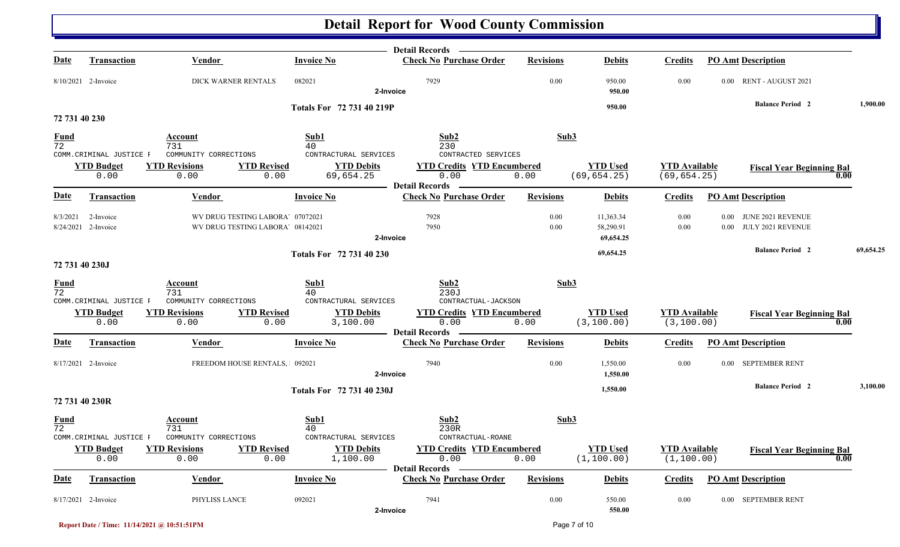|                                |                           |                                                                      |                                        | Detail Records —                                                   |                  |                                     |                                      |                                                                |           |
|--------------------------------|---------------------------|----------------------------------------------------------------------|----------------------------------------|--------------------------------------------------------------------|------------------|-------------------------------------|--------------------------------------|----------------------------------------------------------------|-----------|
| Date                           | <b>Transaction</b>        | <b>Vendor</b>                                                        | <b>Invoice No</b>                      | <b>Check No Purchase Order</b>                                     | <b>Revisions</b> | <b>Debits</b>                       | <b>Credits</b>                       | <b>PO Amt Description</b>                                      |           |
|                                | 8/10/2021 2-Invoice       | DICK WARNER RENTALS                                                  | 082021                                 | 7929<br>2-Invoice                                                  | 0.00             | 950.00<br>950.00                    | 0.00                                 | 0.00 RENT - AUGUST 2021                                        |           |
|                                |                           |                                                                      | Totals For 72 731 40 219P              |                                                                    |                  | 950.00                              |                                      | <b>Balance Period 2</b>                                        | 1,900.00  |
| 72 731 40 230                  |                           |                                                                      |                                        |                                                                    |                  |                                     |                                      |                                                                |           |
| <b>Fund</b><br>$\overline{72}$ | COMM. CRIMINAL JUSTICE F  | Account<br>731<br>COMMUNITY CORRECTIONS                              | Sub1<br>40<br>CONTRACTURAL SERVICES    | Sub2<br>230<br>CONTRACTED SERVICES                                 | Sub3             |                                     |                                      |                                                                |           |
|                                | <b>YTD Budget</b><br>0.00 | <b>YTD Revisions</b><br><b>YTD Revised</b><br>0.00                   | <b>YTD Debits</b><br>69,654.25<br>0.00 | <b>YTD Credits YTD Encumbered</b><br>0.00<br><b>Detail Records</b> | 0.00             | <b>YTD Used</b><br>(69, 654.25)     | <b>YTD</b> Available<br>(69, 654.25) | <b>Fiscal Year Beginning Bal</b>                               | 0.00      |
| <b>Date</b>                    | <b>Transaction</b>        | <b>Vendor</b>                                                        | <b>Invoice No</b>                      | <b>Check No Purchase Order</b>                                     | <b>Revisions</b> | <b>Debits</b>                       | <b>Credits</b>                       | <b>PO Amt Description</b>                                      |           |
| 8/3/2021<br>8/24/2021          | 2-Invoice<br>2-Invoice    | WV DRUG TESTING LABORA' 07072021<br>WV DRUG TESTING LABORA' 08142021 |                                        | 7928<br>7950                                                       | 0.00<br>0.00     | 11,363.34<br>58,290.91<br>69,654.25 | 0.00<br>0.00                         | JUNE 2021 REVENUE<br>$0.00\,$<br>JULY 2021 REVENUE<br>$0.00\,$ |           |
|                                |                           |                                                                      |                                        | 2-Invoice                                                          |                  |                                     |                                      | <b>Balance Period 2</b>                                        | 69,654.25 |
|                                | 72 731 40 230J            |                                                                      | Totals For 72 731 40 230               |                                                                    |                  | 69,654.25                           |                                      |                                                                |           |
| $\frac{Fund}{72}$              | COMM. CRIMINAL JUSTICE F  | Account<br>731<br>COMMUNITY CORRECTIONS                              | Sub1<br>40<br>CONTRACTURAL SERVICES    | Sub2<br>230J<br>CONTRACTUAL-JACKSON                                | Sub3             |                                     |                                      |                                                                |           |
|                                | <b>YTD Budget</b><br>0.00 | <b>YTD Revisions</b><br><b>YTD Revised</b><br>0.00                   | <b>YTD Debits</b><br>0.00<br>3,100.00  | <b>YTD Credits YTD Encumbered</b><br>0.00<br><b>Detail Records</b> | 0.00             | <b>YTD Used</b><br>(3, 100.00)      | <b>YTD</b> Available<br>(3, 100.00)  | <b>Fiscal Year Beginning Bal</b>                               | 0.00      |
| <u>Date</u>                    | <b>Transaction</b>        | <b>Vendor</b>                                                        | <b>Invoice No</b>                      | <b>Check No Purchase Order</b>                                     | <b>Revisions</b> | <b>Debits</b>                       | <b>Credits</b>                       | <b>PO Amt Description</b>                                      |           |
|                                | 8/17/2021 2-Invoice       | FREEDOM HOUSE RENTALS, 092021                                        |                                        | 7940<br>2-Invoice                                                  | 0.00             | 1,550.00<br>1,550.00                | 0.00                                 | SEPTEMBER RENT<br>$0.00\,$                                     |           |
|                                |                           |                                                                      | Totals For 72 731 40 230J              |                                                                    |                  | 1,550.00                            |                                      | <b>Balance Period 2</b>                                        | 3,100.00  |
|                                | 72 731 40 230R            |                                                                      |                                        |                                                                    |                  |                                     |                                      |                                                                |           |
| <b>Fund</b><br>72              | COMM.CRIMINAL JUSTICE F   | Account<br>731<br>COMMUNITY CORRECTIONS                              | Sub1<br>40<br>CONTRACTURAL SERVICES    | Sub2<br>230R<br>CONTRACTUAL-ROANE                                  | Sub3             |                                     |                                      |                                                                |           |
|                                | <b>YTD Budget</b><br>0.00 | <b>YTD Revised</b><br><b>YTD Revisions</b><br>0.00                   | <b>YTD Debits</b><br>1,100.00<br>0.00  | <b>YTD Credits YTD Encumbered</b><br>0.00<br>Detail Records -      | 0.00             | <b>YTD Used</b><br>(1, 100.00)      | <b>YTD</b> Available<br>(1, 100.00)  | <b>Fiscal Year Beginning Bal</b>                               | 0.00      |
| <b>Date</b>                    | <b>Transaction</b>        | <b>Vendor</b>                                                        | <b>Invoice No</b>                      | <b>Check No Purchase Order</b>                                     | <b>Revisions</b> | <b>Debits</b>                       | <b>Credits</b>                       | <b>PO Amt Description</b>                                      |           |
|                                | 8/17/2021 2-Invoice       | PHYLISS LANCE                                                        | 092021                                 | 7941<br>2-Invoice                                                  | 0.00             | 550.00<br>550.00                    | 0.00                                 | 0.00 SEPTEMBER RENT                                            |           |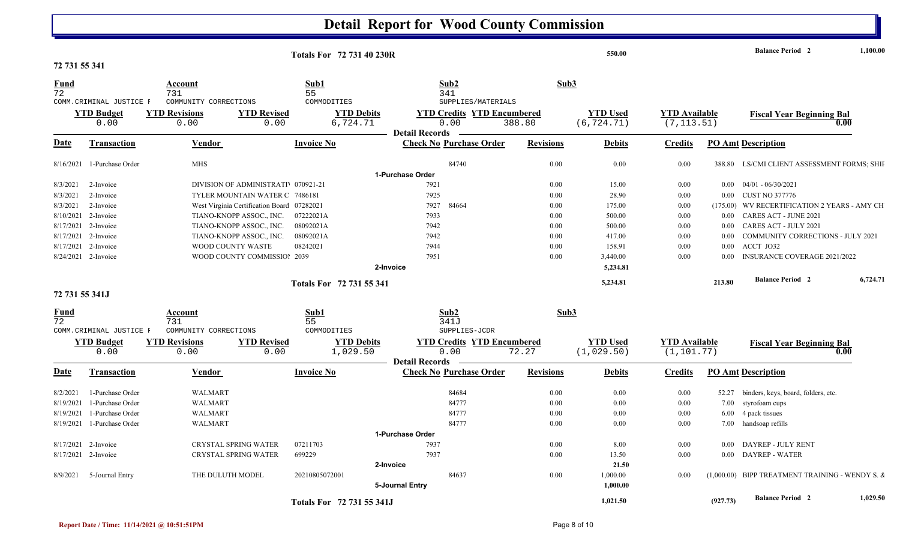|                                |                            |                                               |                    | <b>Totals For 72 731 40 230R</b> |                       |                                           |                  | 550.00                         |                                     |          | <b>Balance Period 2</b>                              | 1,100.00 |
|--------------------------------|----------------------------|-----------------------------------------------|--------------------|----------------------------------|-----------------------|-------------------------------------------|------------------|--------------------------------|-------------------------------------|----------|------------------------------------------------------|----------|
| 72 731 55 341                  |                            |                                               |                    |                                  |                       |                                           |                  |                                |                                     |          |                                                      |          |
| <u>Fund</u><br>$\overline{72}$ |                            | Account<br>731                                |                    | Sub1<br>55                       |                       | Sub2<br>341                               | Sub3             |                                |                                     |          |                                                      |          |
|                                | COMM.CRIMINAL JUSTICE F    | COMMUNITY CORRECTIONS                         |                    | COMMODITIES                      |                       | SUPPLIES/MATERIALS                        |                  |                                |                                     |          |                                                      |          |
|                                | <b>YTD Budget</b>          | <b>YTD Revisions</b>                          | <b>YTD Revised</b> | <b>YTD Debits</b>                |                       | <b>YTD Credits YTD Encumbered</b><br>0.00 |                  | <b>YTD</b> Used<br>(6, 724.71) | <b>YTD Available</b><br>(7, 113.51) |          | <b>Fiscal Year Beginning Bal</b>                     | 0.00     |
|                                | 0.00                       | 0.00                                          | 0.00               | 6,724.71                         | <b>Detail Records</b> |                                           | 388.80           |                                |                                     |          |                                                      |          |
| Date                           | <b>Transaction</b>         | Vendor                                        |                    | <b>Invoice No</b>                |                       | <b>Check No Purchase Order</b>            | <b>Revisions</b> | <b>Debits</b>                  | <b>Credits</b>                      |          | <b>PO Amt Description</b>                            |          |
|                                |                            |                                               |                    |                                  |                       |                                           |                  |                                |                                     |          |                                                      |          |
|                                | 8/16/2021 1-Purchase Order | <b>MHS</b>                                    |                    |                                  | 1-Purchase Order      | 84740                                     | 0.00             | 0.00                           | 0.00                                | 388.80   | LS/CMI CLIENT ASSESSMENT FORMS; SHII                 |          |
| 8/3/2021                       | 2-Invoice                  | DIVISION OF ADMINISTRATI <sup>070921-21</sup> |                    |                                  |                       | 7921                                      | 0.00             | 15.00                          | 0.00                                | $0.00\,$ | 04/01 - 06/30/2021                                   |          |
| 8/3/2021                       | 2-Invoice                  | TYLER MOUNTAIN WATER C 7486181                |                    |                                  |                       | 7925                                      | 0.00             | 28.90                          | 0.00                                |          | 0.00 CUST NO 377776                                  |          |
| 8/3/2021                       | 2-Invoice                  | West Virginia Certification Board 07282021    |                    |                                  |                       | 7927<br>84664                             | 0.00             | 175.00                         | 0.00                                |          | (175.00) WV RECERTIFICATION 2 YEARS - AMY CH         |          |
| 8/10/2021                      | 2-Invoice                  | TIANO-KNOPP ASSOC., INC.                      |                    | 07222021A                        |                       | 7933                                      | 0.00             | 500.00                         | 0.00                                | $0.00\,$ | <b>CARES ACT - JUNE 2021</b>                         |          |
|                                | 8/17/2021 2-Invoice        | TIANO-KNOPP ASSOC., INC.                      |                    | 08092021A                        |                       | 7942                                      | 0.00             | 500.00                         | 0.00                                | $0.00\,$ | CARES ACT - JULY 2021                                |          |
|                                | 8/17/2021 2-Invoice        | TIANO-KNOPP ASSOC., INC.                      |                    | 08092021A                        |                       | 7942                                      | 0.00             | 417.00                         | $0.00\,$                            | $0.00\,$ | COMMUNITY CORRECTIONS - JULY 2021                    |          |
| 8/17/2021                      | 2-Invoice                  | WOOD COUNTY WASTE                             |                    | 08242021                         |                       | 7944                                      | 0.00             | 158.91                         | 0.00                                | $0.00\,$ | ACCT JO32                                            |          |
|                                | 8/24/2021 2-Invoice        | WOOD COUNTY COMMISSIOI 2039                   |                    |                                  |                       | 7951                                      | 0.00             | 3,440.00                       | 0.00                                | $0.00\,$ | <b>INSURANCE COVERAGE 2021/2022</b>                  |          |
|                                |                            |                                               |                    |                                  | 2-Invoice             |                                           |                  | 5,234.81                       |                                     |          |                                                      |          |
|                                |                            |                                               |                    |                                  |                       |                                           |                  |                                |                                     |          |                                                      |          |
| 72 731 55 341J                 |                            |                                               |                    | Totals For 72 731 55 341         |                       |                                           |                  | 5,234.81                       |                                     | 213.80   | <b>Balance Period 2</b>                              | 6,724.71 |
|                                |                            |                                               |                    |                                  |                       |                                           |                  |                                |                                     |          |                                                      |          |
| <b>Fund</b><br>72              |                            | Account<br>731                                |                    | Sub1<br>55                       |                       | Sub2<br>341J                              | Sub3             |                                |                                     |          |                                                      |          |
|                                | COMM. CRIMINAL JUSTICE F   | COMMUNITY CORRECTIONS                         |                    | COMMODITIES                      |                       | SUPPLIES-JCDR                             |                  |                                |                                     |          |                                                      |          |
|                                | <b>YTD Budget</b>          | <b>YTD Revisions</b>                          | <b>YTD Revised</b> | <b>YTD Debits</b>                |                       | <b>YTD Credits YTD Encumbered</b>         |                  | <b>YTD Used</b>                | <b>YTD</b> Available                |          | <b>Fiscal Year Beginning Bal</b>                     |          |
|                                | 0.00                       | 0.00                                          | 0.00               | 1,029.50                         |                       | 0.00                                      | 72.27            | (1,029.50)                     | (1, 101.77)                         |          |                                                      | 0.00     |
| Date                           | Transaction                | Vendor                                        |                    | <b>Invoice No</b>                | <b>Detail Records</b> | <b>Check No Purchase Order</b>            | <b>Revisions</b> | <b>Debits</b>                  | <b>Credits</b>                      |          | <b>PO Amt Description</b>                            |          |
| 8/2/2021                       | 1-Purchase Order           | WALMART                                       |                    |                                  |                       | 84684                                     | 0.00             | 0.00                           | 0.00                                |          | 52.27 binders, keys, board, folders, etc.            |          |
| 8/19/2021                      | 1-Purchase Order           | <b>WALMART</b>                                |                    |                                  |                       | 84777                                     | 0.00             | 0.00                           | 0.00                                |          | 7.00 styrofoam cups                                  |          |
| 8/19/2021                      | 1-Purchase Order           | <b>WALMART</b>                                |                    |                                  |                       | 84777                                     | 0.00             | 0.00                           | 0.00                                | 6.00     | 4 pack tissues                                       |          |
| 8/19/2021                      | 1-Purchase Order           | WALMART                                       |                    |                                  |                       | 84777                                     | 0.00             | 0.00                           | 0.00                                |          | 7.00 handsoap refills                                |          |
|                                |                            |                                               |                    |                                  | 1-Purchase Order      |                                           |                  |                                |                                     |          |                                                      |          |
|                                | 8/17/2021 2-Invoice        | CRYSTAL SPRING WATER                          |                    | 07211703                         |                       | 7937                                      | 0.00             | 8.00                           | 0.00                                | $0.00\,$ | DAYREP - JULY RENT                                   |          |
|                                | 8/17/2021 2-Invoice        | <b>CRYSTAL SPRING WATER</b>                   |                    | 699229                           |                       | 7937                                      | 0.00             | 13.50                          | 0.00                                | $0.00\,$ | <b>DAYREP - WATER</b>                                |          |
|                                |                            |                                               |                    |                                  | 2-Invoice             |                                           |                  | 21.50                          |                                     |          |                                                      |          |
| 8/9/2021                       | 5-Journal Entry            | THE DULUTH MODEL                              |                    | 20210805072001                   |                       | 84637                                     | 0.00             | 1,000.00                       | 0.00                                |          | $(1,000.00)$ BIPP TREATMENT TRAINING - WENDY S. $\&$ |          |
|                                |                            |                                               |                    |                                  | 5-Journal Entry       |                                           |                  | 1,000.00                       |                                     |          |                                                      |          |
|                                |                            |                                               |                    | Totals For 72 731 55 341J        |                       |                                           |                  | 1.021.50                       |                                     | (927.73) | <b>Balance Period 2</b>                              | 1,029.50 |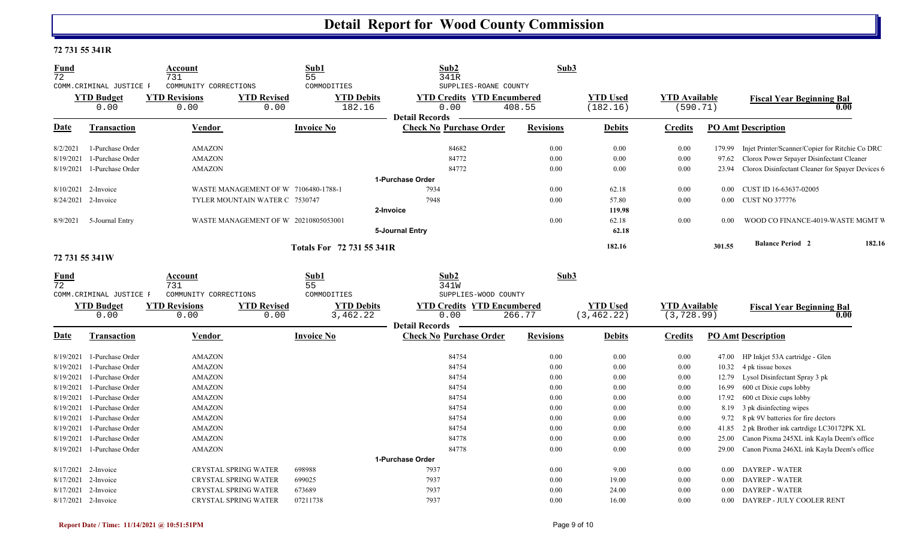### **72 731 55 341R**

| <b>Fund</b><br>72   |                          | <b>Account</b><br>731        |                                      | Sub1<br>55                | Sub <sub>2</sub><br>341R          | Sub3             |                 |                      |          |                                                  |
|---------------------|--------------------------|------------------------------|--------------------------------------|---------------------------|-----------------------------------|------------------|-----------------|----------------------|----------|--------------------------------------------------|
|                     | COMM. CRIMINAL JUSTICE F | COMMUNITY CORRECTIONS        |                                      | COMMODITIES               | SUPPLIES-ROANE COUNTY             |                  |                 |                      |          |                                                  |
|                     | <b>YTD Budget</b>        | <b>YTD Revisions</b>         | <b>YTD Revised</b>                   | <b>YTD Debits</b>         | <b>YTD Credits YTD Encumbered</b> |                  | <b>YTD Used</b> | <b>YTD Available</b> |          | <b>Fiscal Year Beginning Bal</b>                 |
|                     | 0.00                     | 0.00                         | 0.00                                 | 182.16                    | 0.00                              | 408.55           | (182.16)        | (590.71)             |          | 0.00                                             |
|                     |                          |                              |                                      |                           | <b>Detail Records</b>             |                  |                 |                      |          |                                                  |
| <b>Date</b>         | <b>Transaction</b>       | Vendor                       |                                      | <b>Invoice No</b>         | <b>Check No Purchase Order</b>    | <b>Revisions</b> | <b>Debits</b>   | <b>Credits</b>       |          | <b>PO Amt Description</b>                        |
| 8/2/2021            | 1-Purchase Order         | <b>AMAZON</b>                |                                      |                           | 84682                             | 0.00             | 0.00            | 0.00                 | 179.99   | Injet Printer/Scanner/Copier for Ritchie Co DRC  |
| 8/19/2021           | 1-Purchase Order         | <b>AMAZON</b>                |                                      |                           | 84772                             | 0.00             | 0.00            | 0.00                 | 97.62    | Clorox Power Srpayer Disinfectant Cleaner        |
| 8/19/2021           | 1-Purchase Order         | <b>AMAZON</b>                |                                      |                           | 84772                             | 0.00             | 0.00            | 0.00                 | 23.94    | Clorox Disinfectant Cleaner for Spayer Devices 6 |
|                     |                          |                              |                                      |                           | 1-Purchase Order                  |                  |                 |                      |          |                                                  |
|                     | 8/10/2021 2-Invoice      |                              | WASTE MANAGEMENT OF W 7106480-1788-1 |                           | 7934                              | 0.00             | 62.18           | 0.00                 | $0.00\,$ | CUST ID 16-63637-02005                           |
|                     | 8/24/2021 2-Invoice      |                              | TYLER MOUNTAIN WATER C 7530747       |                           | 7948                              | 0.00             | 57.80           | 0.00                 | $0.00\,$ | <b>CUST NO 377776</b>                            |
|                     |                          |                              |                                      |                           | 2-Invoice                         |                  | 119.98          |                      |          |                                                  |
| 8/9/2021            | 5-Journal Entry          |                              | WASTE MANAGEMENT OF W 20210805053001 |                           |                                   | 0.00             | 62.18           | 0.00                 | 0.00     | WOOD CO FINANCE-4019-WASTE MGMT V                |
|                     |                          |                              |                                      |                           | 5-Journal Entry                   |                  | 62.18           |                      |          |                                                  |
|                     |                          |                              |                                      | Totals For 72 731 55 341R |                                   |                  | 182.16          |                      | 301.55   | <b>Balance Period 2</b><br>182.16                |
|                     | 72 731 55 341W           |                              |                                      |                           |                                   |                  |                 |                      |          |                                                  |
| <b>Fund</b><br>72   |                          | Account                      |                                      | Sub1                      | Sub <sub>2</sub>                  | Sub3             |                 |                      |          |                                                  |
|                     | COMM. CRIMINAL JUSTICE F | 731<br>COMMUNITY CORRECTIONS |                                      | 55<br>COMMODITIES         | 341W<br>SUPPLIES-WOOD COUNTY      |                  |                 |                      |          |                                                  |
|                     | <b>YTD Budget</b>        | <b>YTD Revisions</b>         | <b>YTD Revised</b>                   | <b>YTD Debits</b>         | <b>YTD Credits YTD Encumbered</b> |                  | <b>YTD Used</b> | <b>YTD Available</b> |          | <b>Fiscal Year Beginning Bal</b>                 |
|                     | 0.00                     | 0.00                         | 0.00                                 | 3,462.22                  | 0.00                              | 266.77           | (3, 462.22)     | (3, 728.99)          |          | 0.00                                             |
|                     |                          |                              |                                      |                           | <b>Detail Records</b>             |                  |                 |                      |          |                                                  |
| <b>Date</b>         | <b>Transaction</b>       | <b>Vendor</b>                |                                      | <b>Invoice No</b>         | <b>Check No Purchase Order</b>    | <b>Revisions</b> | <b>Debits</b>   | <b>Credits</b>       |          | <b>PO Amt Description</b>                        |
| 8/19/2021           | 1-Purchase Order         | <b>AMAZON</b>                |                                      |                           | 84754                             | 0.00             | 0.00            | 0.00                 | 47.00    | HP Inkjet 53A cartridge - Glen                   |
| 8/19/2021           | 1-Purchase Order         | <b>AMAZON</b>                |                                      |                           | 84754                             | 0.00             | 0.00            | 0.00                 |          | 10.32 4 pk tissue boxes                          |
| 8/19/2021           | 1-Purchase Order         | <b>AMAZON</b>                |                                      |                           | 84754                             | 0.00             | 0.00            | 0.00                 | 12.79    | Lysol Disinfectant Spray 3 pk                    |
| 8/19/2021           | 1-Purchase Order         | <b>AMAZON</b>                |                                      |                           | 84754                             | 0.00             | 0.00            | 0.00                 | 16.99    | 600 ct Dixie cups lobby                          |
| 8/19/2021           | 1-Purchase Order         | <b>AMAZON</b>                |                                      |                           | 84754                             | 0.00             | 0.00            | 0.00                 | 17.92    | 600 ct Dixie cups lobby                          |
| 8/19/2021           | 1-Purchase Order         | <b>AMAZON</b>                |                                      |                           | 84754                             | 0.00             | 0.00            | 0.00                 |          | 8.19 3 pk disinfecting wipes                     |
| 8/19/2021           | 1-Purchase Order         | <b>AMAZON</b>                |                                      |                           | 84754                             | 0.00             | 0.00            | 0.00                 | 9.72     | 8 pk 9V batteries for fire dectors               |
| 8/19/2021           | 1-Purchase Order         | <b>AMAZON</b>                |                                      |                           | 84754                             | 0.00             | 0.00            | 0.00                 | 41.85    | 2 pk Brother ink cartrdige LC30172PK XL          |
| 8/19/2021           | 1-Purchase Order         | <b>AMAZON</b>                |                                      |                           | 84778                             | 0.00             | 0.00            | 0.00                 | 25.00    | Canon Pixma 245XL ink Kayla Deem's office        |
| 8/19/2021           | 1-Purchase Order         | <b>AMAZON</b>                |                                      |                           | 84778                             | 0.00             | 0.00            | 0.00                 | 29.00    | Canon Pixma 246XL ink Kayla Deem's office        |
|                     |                          |                              |                                      |                           | 1-Purchase Order                  |                  |                 |                      |          |                                                  |
| 8/17/2021 2-Invoice |                          |                              |                                      |                           |                                   |                  |                 |                      |          |                                                  |
|                     |                          |                              | <b>CRYSTAL SPRING WATER</b>          | 698988                    | 7937                              | 0.00             | 9.00            | 0.00                 | 0.00     | <b>DAYREP - WATER</b>                            |
| 8/17/2021           | 2-Invoice                |                              | <b>CRYSTAL SPRING WATER</b>          | 699025                    | 7937                              | 0.00             | 19.00           | 0.00                 | 0.00     | <b>DAYREP - WATER</b>                            |
|                     | 8/17/2021 2-Invoice      |                              | <b>CRYSTAL SPRING WATER</b>          | 673689                    | 7937                              | 0.00             | 24.00           | 0.00                 | 0.00     | <b>DAYREP - WATER</b>                            |